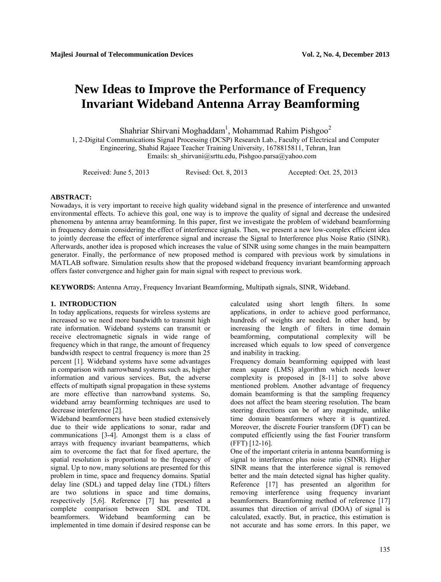# **New Ideas to Improve the Performance of Frequency Invariant Wideband Antenna Array Beamforming**

Shahriar Shirvani Moghaddam<sup>1</sup>, Mohammad Rahim Pishgoo<sup>2</sup>

 1, 2-Digital Communications Signal Processing (DCSP) Research Lab., Faculty of Electrical and Computer Engineering, Shahid Rajaee Teacher Training University, 1678815811, Tehran, Iran Emails: sh\_shirvani@srttu.edu, Pishgoo.parsa@yahoo.com

Received: June 5, 2013 Revised: Oct. 8, 2013 Accepted: Oct. 25, 2013

# **ABSTRACT:**

Nowadays, it is very important to receive high quality wideband signal in the presence of interference and unwanted environmental effects. To achieve this goal, one way is to improve the quality of signal and decrease the undesired phenomena by antenna array beamforming. In this paper, first we investigate the problem of wideband beamforming in frequency domain considering the effect of interference signals. Then, we present a new low-complex efficient idea to jointly decrease the effect of interference signal and increase the Signal to Interference plus Noise Ratio (SINR). Afterwards, another idea is proposed which increases the value of SINR using some changes in the main beampattern generator. Finally, the performance of new proposed method is compared with previous work by simulations in MATLAB software. Simulation results show that the proposed wideband frequency invariant beamforming approach offers faster convergence and higher gain for main signal with respect to previous work.

**KEYWORDS:** Antenna Array, Frequency Invariant Beamforming, Multipath signals, SINR, Wideband.

# **1. INTRODUCTION**

In today applications, requests for wireless systems are increased so we need more bandwidth to transmit high rate information. Wideband systems can transmit or receive electromagnetic signals in wide range of frequency which in that range, the amount of frequency bandwidth respect to central frequency is more than 25 percent [1]. Wideband systems have some advantages in comparison with narrowband systems such as, higher information and various services. But, the adverse effects of multipath signal propagation in these systems are more effective than narrowband systems. So, wideband array beamforming techniques are used to decrease interference [2].

Wideband beamformers have been studied extensively due to their wide applications to sonar, radar and communications [3-4]. Amongst them is a class of arrays with frequency invariant beampatterns, which aim to overcome the fact that for fixed aperture, the spatial resolution is proportional to the frequency of signal. Up to now, many solutions are presented for this problem in time, space and frequency domains. Spatial delay line (SDL) and tapped delay line (TDL) filters are two solutions in space and time domains, respectively [5,6]. Reference [7] has presented a complete comparison between SDL and TDL beamformers. Wideband beamforming can be implemented in time domain if desired response can be calculated using short length filters. In some applications, in order to achieve good performance, hundreds of weights are needed. In other hand, by increasing the length of filters in time domain beamforming, computational complexity will be increased which equals to low speed of convergence and inability in tracking.

Frequency domain beamforming equipped with least mean square (LMS) algorithm which needs lower complexity is proposed in [8-11] to solve above mentioned problem. Another advantage of frequency domain beamforming is that the sampling frequency does not affect the beam steering resolution. The beam steering directions can be of any magnitude, unlike time domain beamformers where it is quantized. Moreover, the discrete Fourier transform (DFT) can be computed efficiently using the fast Fourier transform (FFT) [12-16].

One of the important criteria in antenna beamforming is signal to interference plus noise ratio (SINR). Higher SINR means that the interference signal is removed better and the main detected signal has higher quality. Reference [17] has presented an algorithm for removing interference using frequency invariant beamformers. Beamforming method of reference [17] assumes that direction of arrival (DOA) of signal is calculated, exactly. But, in practice, this estimation is not accurate and has some errors. In this paper, we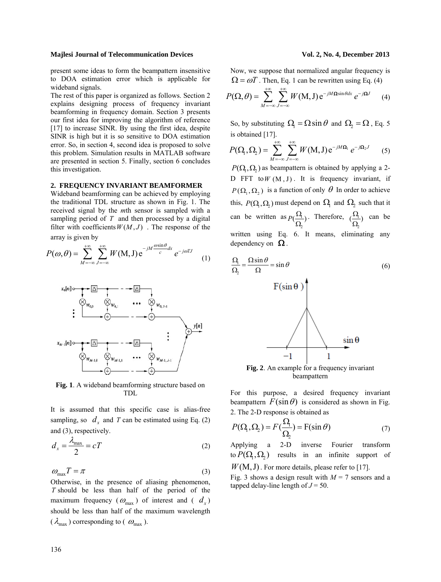present some ideas to form the beampattern insensitive to DOA estimation error which is applicable for wideband signals.

The rest of this paper is organized as follows. Section 2 explains designing process of frequency invariant beamforming in frequency domain. Section 3 presents our first idea for improving the algorithm of reference [17] to increase SINR. By using the first idea, despite SINR is high but it is so sensitive to DOA estimation error. So, in section 4, second idea is proposed to solve this problem. Simulation results in MATLAB software are presented in section 5. Finally, section 6 concludes this investigation.

# **2. FREQUENCY INVARIANT BEAMFORMER**

Wideband beamforming can be achieved by employing the traditional TDL structure as shown in Fig. 1. The received signal by the *m*th sensor is sampled with a sampling period of *T* and then processed by a digital filter with coefficients  $W(M, J)$ . The response of the

array is given by

$$
P(\omega,\theta) = \sum_{M=-\infty}^{+\infty} \sum_{J=-\infty}^{+\infty} W(M,J) e^{-jM \frac{\omega \sin \theta}{c} dx} e^{-j\omega I J}
$$
 (1)



**Fig. 1**. A wideband beamforming structure based on TDL

It is assumed that this specific case is alias-free sampling, so  $d<sub>x</sub>$  and *T* can be estimated using Eq. (2) and (3), respectively.

$$
d_x = \frac{\lambda_{\text{max}}}{2} = cT \tag{2}
$$

 $\omega_{\text{max}}T = \pi$  (3)

Otherwise, in the presence of aliasing phenomenon, *T* should be less than half of the period of the maximum frequency ( $\omega_{\text{max}}$ ) of interest and ( $d_x$ ) should be less than half of the maximum wavelength  $(\lambda_{\text{max}})$  corresponding to (  $\omega_{\text{max}}$  ).

Now, we suppose that normalized angular frequency is  $\Omega = \omega T$ . Then, Eq. 1 can be rewritten using Eq. (4)

$$
P(\Omega,\theta) = \sum_{M=-\infty}^{+\infty} \sum_{J=-\infty}^{+\infty} W(M,J) e^{-jM\Omega \sin\theta dx} e^{-j\Omega J}
$$
 (4)

So, by substituting  $\Omega = \Omega \sin \theta$  and  $\Omega$ ,  $\Omega = \Omega$ , Eq. 5 is obtained [17].

$$
P(\Omega_1, \Omega_2) = \sum_{M=-\infty}^{+\infty} \sum_{J=-\infty}^{+\infty} W(M, J) e^{-jM\Omega_1} e^{-j\Omega_2 J} \qquad (5)
$$

 $P(\Omega, \Omega)$  as beampattern is obtained by applying a 2-D FFT to  $W(M, J)$ . It is frequency invariant, if  $P(\Omega_1, \Omega_2)$  is a function of only  $\theta$  In order to achieve this,  $P(\Omega, \Omega)$  must depend on  $\Omega$  and  $\Omega$ , such that it can be written as  $p \left( \frac{12}{1} \right)$ 2  $P(\frac{\Omega_1}{\Omega_2})$ . Therefore,  $\frac{12}{1}$ 2  $(\frac{\Omega_1}{\Omega_2})$  can be written using Eq. 6. It means, eliminating any dependency on  $\Omega$ .



**Fig. 2**. An example for a frequency invariant beampattern

For this purpose, a desired frequency invariant beampattern  $F(\sin \theta)$  is considered as shown in Fig. 2. The 2-D response is obtained as

$$
P(\Omega_1, \Omega_2) = F(\frac{\Omega_1}{\Omega_2}) = F(\sin \theta)
$$
 (7)

Applying a 2-D inverse Fourier transform to  $P(\Omega, \Omega)$  results in an infinite support of

 $W(M, J)$ . For more details, please refer to [17].

Fig. 3 shows a design result with  $M = 7$  sensors and a tapped delay-line length of  $J = 50$ .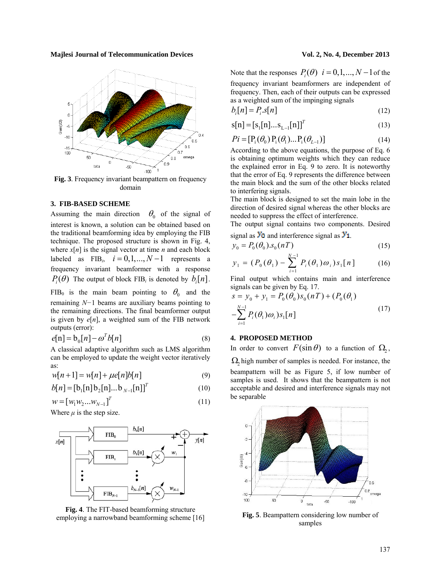

**Fig. 3**. Frequency invariant beampattern on frequency domain

# **3. FIB-BASED SCHEME**

Assuming the main direction  $\theta_0$  of the signal of interest is known, a solution can be obtained based on the traditional beamforming idea by employing the FIB technique. The proposed structure is shown in Fig. 4, where  $x[n]$  is the signal vector at time *n* and each block labeled as  $FIB_i$ ,  $i = 0, 1, ..., N-1$  represents a frequency invariant beamformer with a response  $P_i(\theta)$  The output of block FIB<sub>i</sub> is denoted by  $b_i[n]$ . FIB<sub>0</sub> is the main beam pointing to  $\theta_0$  and the remaining *N−*1 beams are auxiliary beams pointing to the remaining directions. The final beamformer output is given by  $e[n]$ , a weighted sum of the FIB network outputs (error):

$$
e[n] = b_0[n] - \omega^T b[n] \tag{8}
$$

A classical adaptive algorithm such as LMS algorithm can be employed to update the weight vector iteratively as:

$$
w[n+1] = w[n] + \mu e[n]b[n] \tag{9}
$$

$$
b[n] = [b_1[n]b_2[n]...b_{N-1}[n]]^T
$$
 (10)

$$
w = [w_1 w_2 ... w_{N-1}]^T
$$
  
Where  $\mu$  is the step size. (11)

 $y[n]$ 

 $b_{\alpha}[n]$  $FIB<sub>0</sub>$  $x[n]$ FIB,



**Fig. 4**. The FIT-based beamforming structure employing a narrowband beamforming scheme [16]

Note that the responses  $P_i(\theta)$   $i = 0, 1, ..., N-1$  of the frequency invariant beamformers are independent of frequency. Then, each of their outputs can be expressed as a weighted sum of the impinging signals

$$
b_i[n] = P_i \cdot s[n] \tag{12}
$$

$$
s[n] = [s1[n]...sL-1[n]]T
$$
 (13)

$$
Pi = [P_i(\theta_0) P_i(\theta_1) ... P_i(\theta_{L-1})]
$$
\n(14)

According to the above equations, the purpose of Eq. 6 is obtaining optimum weights which they can reduce the explained error in Eq. 9 to zero. It is noteworthy that the error of Eq. 9 represents the difference between the main block and the sum of the other blocks related to interfering signals.

The main block is designed to set the main lobe in the direction of desired signal whereas the other blocks are needed to suppress the effect of interference.

The output signal contains two components. Desired

signal as  $\mathbf{y}_0$  and interference signal as  $\mathbf{y}_1$ .

$$
y_0 = P_0(\theta_0) . s_0(nT) \tag{15}
$$

$$
y_1 = (P_0(\theta_1) - \sum_{i=1}^{N-1} P_i(\theta_1)\omega_i) s_1[n] \tag{16}
$$

Final output which contains main and interference signals can be given by Eq. 17.

$$
s = y_0 + y_1 = P_0(\theta_0) s_0(nT) + (P_0(\theta_1)
$$
  

$$
-\sum_{i=1}^{N-1} P_i(\theta_1) \omega_i) s_1[n]
$$
 (17)

# **4. PROPOSED METHOD**

In order to convert  $F(\sin \theta)$  to a function of  $\Omega$ <sub>2</sub>,

 $\Omega$ , high number of samples is needed. For instance, the beampattern will be as Figure 5, if low number of samples is used. It shows that the beampattern is not acceptable and desired and interference signals may not be separable



**Fig. 5**. Beampattern considering low number of samples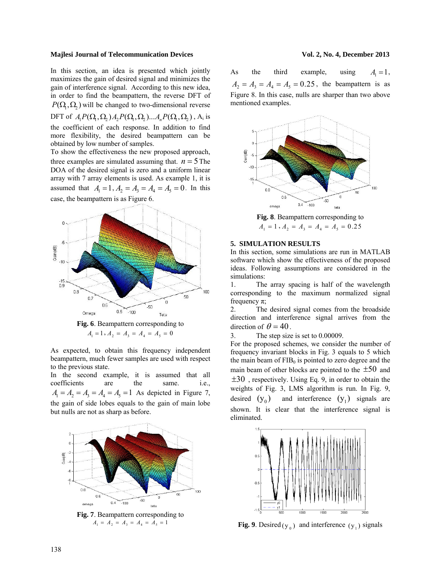In this section, an idea is presented which jointly maximizes the gain of desired signal and minimizes the gain of interference signal. According to this new idea, in order to find the beampattern, the reverse DFT of  $P(\Omega, \Omega)$  will be changed to two-dimensional reverse

DFT of  $A_1 P(\Omega_1, \Omega_2) A_2 P(\Omega_1, \Omega_2) ... A_n P(\Omega_1, \Omega_2)$ , A<sub>i</sub> is the coefficient of each response. In addition to find more flexibility, the desired beampattern can be obtained by low number of samples.

To show the effectiveness the new proposed approach, three examples are simulated assuming that.  $n = 5$  The DOA of the desired signal is zero and a uniform linear array with 7 array elements is used. As example 1, it is assumed that  $A_1 = 1$ ,  $A_2 = A_3 = A_4 = A_5 = 0$ . In this case, the beampattern is as Figure 6.



**Fig. 6**. Beampattern corresponding to  $A_1 = 1, A_2 = A_3 = A_4 = A_5 = 0$ 

As expected, to obtain this frequency independent beampattern, much fewer samples are used with respect to the previous state.

In the second example, it is assumed that all coefficients are the same. i.e.,  $A_1 = A_2 = A_3 = A_4 = A_5 = 1$  As depicted in Figure 7, the gain of side lobes equals to the gain of main lobe but nulls are not as sharp as before.



As the third example, using  $A_i = 1$ ,  $A_2 = A_3 = A_4 = A_5 = 0.25$ , the beampattern is as Figure 8. In this case, nulls are sharper than two above mentioned examples.



**Fig. 8**. Beampattern corresponding to  $A_1 = 1, A_2 = A_3 = A_4 = A_5 = 0.25$ 

# **5. SIMULATION RESULTS**

In this section, some simulations are run in MATLAB software which show the effectiveness of the proposed ideas. Following assumptions are considered in the simulations:

1. The array spacing is half of the wavelength corresponding to the maximum normalized signal frequency  $\pi$ ;

2. The desired signal comes from the broadside direction and interference signal arrives from the direction of  $\theta = 40$ .

3. The step size is set to 0.00009.

For the proposed schemes, we consider the number of frequency invariant blocks in Fig. 3 equals to 5 which the main beam of  $FIB_0$  is pointed to zero degree and the main beam of other blocks are pointed to the  $\pm 50$  and  $\pm 30$ , respectively. Using Eq. 9, in order to obtain the weights of Fig. 3, LMS algorithm is run. In Fig. 9, desired  $(y_0)$  and interference  $(y_1)$  signals are shown. It is clear that the interference signal is eliminated.



**Fig. 9**. Desired  $(y_0)$  and interference  $(y_1)$  signals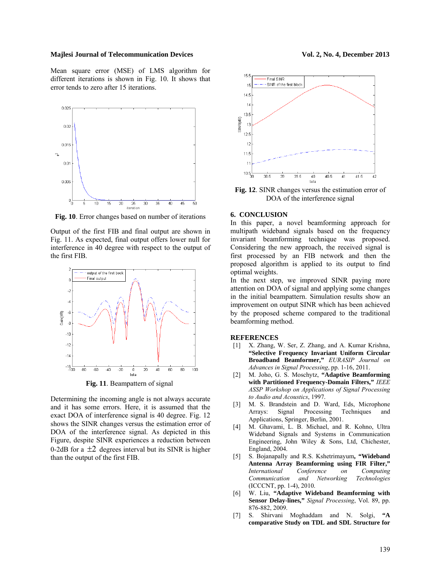Mean square error (MSE) of LMS algorithm for different iterations is shown in Fig. 10. It shows that error tends to zero after 15 iterations.



**Fig. 10**. Error changes based on number of iterations

Output of the first FIB and final output are shown in Fig. 11. As expected, final output offers lower null for interference in 40 degree with respect to the output of the first FIB.



**Fig. 11**. Beampattern of signal

Determining the incoming angle is not always accurate and it has some errors. Here, it is assumed that the exact DOA of interference signal is 40 degree. Fig. 12 shows the SINR changes versus the estimation error of DOA of the interference signal. As depicted in this Figure, despite SINR experiences a reduction between 0-2dB for a  $\pm$ 2 degrees interval but its SINR is higher than the output of the first FIB.



**Fig. 12**. SINR changes versus the estimation error of DOA of the interference signal

### **6. CONCLUSION**

In this paper, a novel beamforming approach for multipath wideband signals based on the frequency invariant beamforming technique was proposed. Considering the new approach, the received signal is first processed by an FIB network and then the proposed algorithm is applied to its output to find optimal weights.

In the next step, we improved SINR paying more attention on DOA of signal and applying some changes in the initial beampattern. Simulation results show an improvement on output SINR which has been achieved by the proposed scheme compared to the traditional beamforming method.

### **REFERENCES**

- [1] X. Zhang, W. Ser, Z. Zhang, and A. Kumar Krishna, **"Selective Frequency Invariant Uniform Circular Broadband Beamformer,"** *EURASIP Journal on Advances in Signal Processing*, pp. 1-16, 2011.
- [2] M. Joho, G. S. Moschytz, **"Adaptive Beamforming with Partitioned Frequency-Domain Filters,"** *IEEE ASSP Workshop on Applications of Signal Processing to Audio and Acoustics*, 1997.
- [3] M. S. Brandstein and D. Ward, Eds, Microphone Arrays: Signal Processing Techniques and Applications, Springer, Berlin, 2001.
- [4] M. Ghavami, L. B. Michael, and R. Kohno, Ultra Wideband Signals and Systems in Communication Engineering, John Wiley & Sons, Ltd, Chichester, England, 2004.
- [5] S. Bojanapally and R.S. Kshetrimayum**, "Wideband Antenna Array Beamforming using FIR Filter,"** *International Conference on Computing Communication and Networking Technologies* (ICCCNT, pp. 1-4), 2010.
- [6] W. Liu, **"Adaptive Wideband Beamforming with Sensor Delay-lines,"** *Signal Processing*, Vol. 89, pp. 876-882, 2009.
- [7] S. Shirvani Moghaddam and N. Solgi, **"A comparative Study on TDL and SDL Structure for**